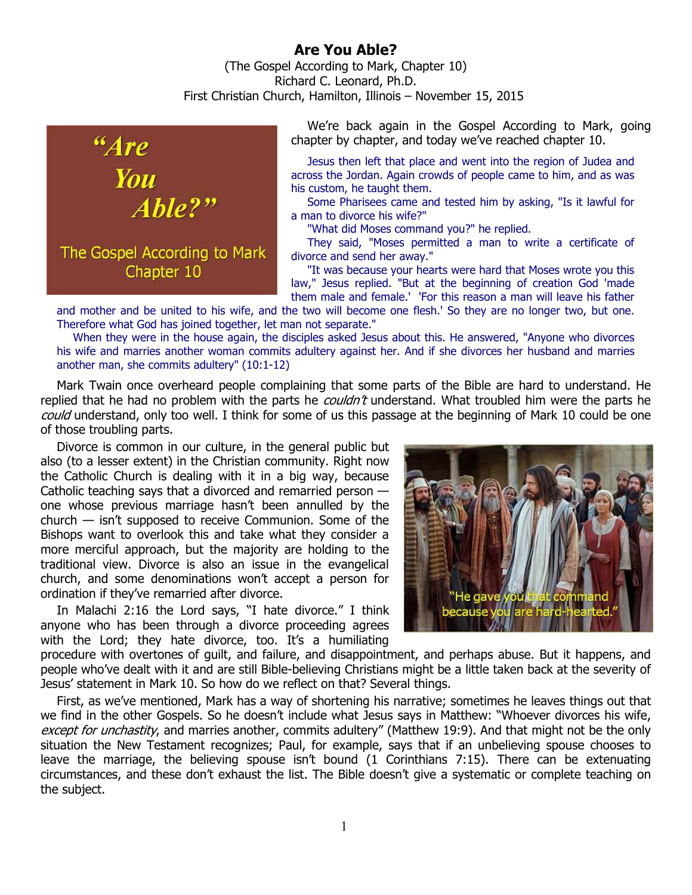## **Are You Able?**

(The Gospel According to Mark, Chapter 10) Richard C. Leonard, Ph.D. First Christian Church, Hamilton, Illinois – November 15, 2015



We're back again in the Gospel According to Mark, going chapter by chapter, and today we've reached chapter 10.

Jesus then left that place and went into the region of Judea and across the Jordan. Again crowds of people came to him, and as was his custom, he taught them.

Some Pharisees came and tested him by asking, "Is it lawful for a man to divorce his wife?"

"What did Moses command you?" he replied.

They said, "Moses permitted a man to write a certificate of divorce and send her away."

"It was because your hearts were hard that Moses wrote you this law," Jesus replied. "But at the beginning of creation God 'made them male and female.' 'For this reason a man will leave his father

and mother and be united to his wife, and the two will become one flesh.' So they are no longer two, but one. Therefore what God has joined together, let man not separate."

When they were in the house again, the disciples asked Jesus about this. He answered, "Anyone who divorces his wife and marries another woman commits adultery against her. And if she divorces her husband and marries another man, she commits adultery" (10:1-12)

Mark Twain once overheard people complaining that some parts of the Bible are hard to understand. He replied that he had no problem with the parts he *couldn't* understand. What troubled him were the parts he could understand, only too well. I think for some of us this passage at the beginning of Mark 10 could be one of those troubling parts.

Divorce is common in our culture, in the general public but also (to a lesser extent) in the Christian community. Right now the Catholic Church is dealing with it in a big way, because Catholic teaching says that a divorced and remarried person one whose previous marriage hasn't been annulled by the church — isn't supposed to receive Communion. Some of the Bishops want to overlook this and take what they consider a more merciful approach, but the majority are holding to the traditional view. Divorce is also an issue in the evangelical church, and some denominations won't accept a person for ordination if they've remarried after divorce.

In Malachi 2:16 the Lord says, "I hate divorce." I think anyone who has been through a divorce proceeding agrees with the Lord; they hate divorce, too. It's a humiliating



procedure with overtones of guilt, and failure, and disappointment, and perhaps abuse. But it happens, and people who've dealt with it and are still Bible-believing Christians might be a little taken back at the severity of Jesus' statement in Mark 10. So how do we reflect on that? Several things.

First, as we've mentioned, Mark has a way of shortening his narrative; sometimes he leaves things out that we find in the other Gospels. So he doesn't include what Jesus says in Matthew: "Whoever divorces his wife, except for unchastity, and marries another, commits adultery" (Matthew 19:9). And that might not be the only situation the New Testament recognizes; Paul, for example, says that if an unbelieving spouse chooses to leave the marriage, the believing spouse isn't bound (1 Corinthians 7:15). There can be extenuating circumstances, and these don't exhaust the list. The Bible doesn't give a systematic or complete teaching on the subject.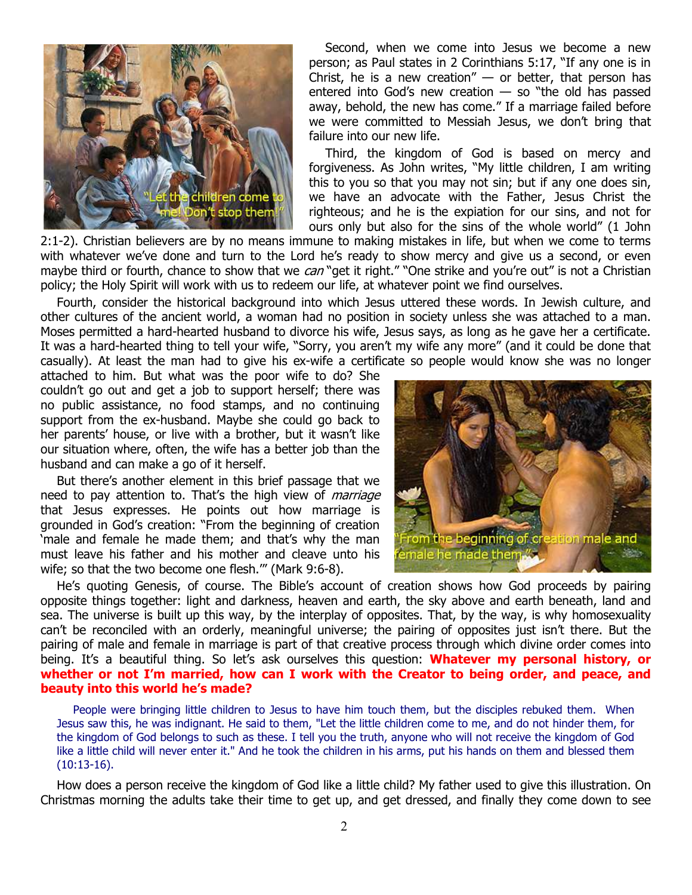

Second, when we come into Jesus we become a new person; as Paul states in 2 Corinthians 5:17, "If any one is in Christ, he is a new creation"  $-$  or better, that person has entered into God's new creation  $-$  so "the old has passed away, behold, the new has come." If a marriage failed before we were committed to Messiah Jesus, we don't bring that failure into our new life.

Third, the kingdom of God is based on mercy and forgiveness. As John writes, "My little children, I am writing this to you so that you may not sin; but if any one does sin, we have an advocate with the Father, Jesus Christ the righteous; and he is the expiation for our sins, and not for ours only but also for the sins of the whole world" (1 John

2:1-2). Christian believers are by no means immune to making mistakes in life, but when we come to terms with whatever we've done and turn to the Lord he's ready to show mercy and give us a second, or even maybe third or fourth, chance to show that we can "get it right." "One strike and you're out" is not a Christian policy; the Holy Spirit will work with us to redeem our life, at whatever point we find ourselves.

Fourth, consider the historical background into which Jesus uttered these words. In Jewish culture, and other cultures of the ancient world, a woman had no position in society unless she was attached to a man. Moses permitted a hard-hearted husband to divorce his wife, Jesus says, as long as he gave her a certificate. It was a hard-hearted thing to tell your wife, "Sorry, you aren't my wife any more" (and it could be done that casually). At least the man had to give his ex-wife a certificate so people would know she was no longer

attached to him. But what was the poor wife to do? She couldn't go out and get a job to support herself; there was no public assistance, no food stamps, and no continuing support from the ex-husband. Maybe she could go back to her parents' house, or live with a brother, but it wasn't like our situation where, often, the wife has a better job than the husband and can make a go of it herself.

But there's another element in this brief passage that we need to pay attention to. That's the high view of *marriage* that Jesus expresses. He points out how marriage is grounded in God's creation: "From the beginning of creation 'male and female he made them; and that's why the man must leave his father and his mother and cleave unto his wife; so that the two become one flesh.'" (Mark 9:6-8).



He's quoting Genesis, of course. The Bible's account of creation shows how God proceeds by pairing opposite things together: light and darkness, heaven and earth, the sky above and earth beneath, land and sea. The universe is built up this way, by the interplay of opposites. That, by the way, is why homosexuality can't be reconciled with an orderly, meaningful universe; the pairing of opposites just isn't there. But the pairing of male and female in marriage is part of that creative process through which divine order comes into being. It's a beautiful thing. So let's ask ourselves this question: **Whatever my personal history, or whether or not I'm married, how can I work with the Creator to being order, and peace, and beauty into this world he's made?** 

People were bringing little children to Jesus to have him touch them, but the disciples rebuked them. When Jesus saw this, he was indignant. He said to them, "Let the little children come to me, and do not hinder them, for the kingdom of God belongs to such as these. I tell you the truth, anyone who will not receive the kingdom of God like a little child will never enter it." And he took the children in his arms, put his hands on them and blessed them (10:13-16).

How does a person receive the kingdom of God like a little child? My father used to give this illustration. On Christmas morning the adults take their time to get up, and get dressed, and finally they come down to see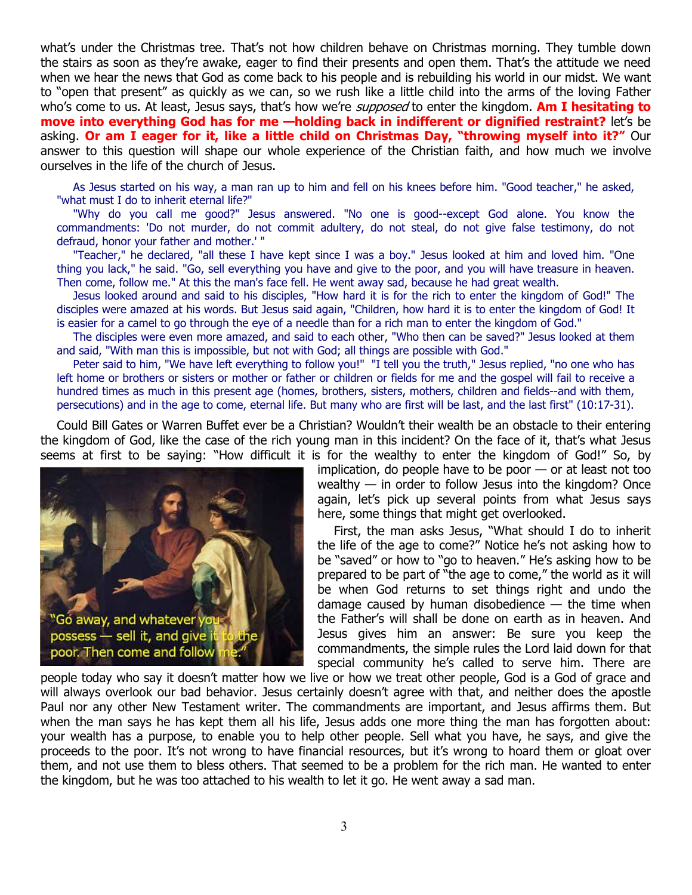what's under the Christmas tree. That's not how children behave on Christmas morning. They tumble down the stairs as soon as they're awake, eager to find their presents and open them. That's the attitude we need when we hear the news that God as come back to his people and is rebuilding his world in our midst. We want to "open that present" as quickly as we can, so we rush like a little child into the arms of the loving Father who's come to us. At least, Jesus says, that's how we're supposed to enter the kingdom. **Am I hesitating to move into everything God has for me —holding back in indifferent or dignified restraint?** let's be asking. **Or am I eager for it, like a little child on Christmas Day, "throwing myself into it?"** Our answer to this question will shape our whole experience of the Christian faith, and how much we involve ourselves in the life of the church of Jesus.

As Jesus started on his way, a man ran up to him and fell on his knees before him. "Good teacher," he asked, "what must I do to inherit eternal life?"

"Why do you call me good?" Jesus answered. "No one is good--except God alone. You know the commandments: 'Do not murder, do not commit adultery, do not steal, do not give false testimony, do not defraud, honor your father and mother.' "

"Teacher," he declared, "all these I have kept since I was a boy." Jesus looked at him and loved him. "One thing you lack," he said. "Go, sell everything you have and give to the poor, and you will have treasure in heaven. Then come, follow me." At this the man's face fell. He went away sad, because he had great wealth.

Jesus looked around and said to his disciples, "How hard it is for the rich to enter the kingdom of God!" The disciples were amazed at his words. But Jesus said again, "Children, how hard it is to enter the kingdom of God! It is easier for a camel to go through the eye of a needle than for a rich man to enter the kingdom of God."

The disciples were even more amazed, and said to each other, "Who then can be saved?" Jesus looked at them and said, "With man this is impossible, but not with God; all things are possible with God."

Peter said to him, "We have left everything to follow you!" "I tell you the truth," Jesus replied, "no one who has left home or brothers or sisters or mother or father or children or fields for me and the gospel will fail to receive a hundred times as much in this present age (homes, brothers, sisters, mothers, children and fields--and with them, persecutions) and in the age to come, eternal life. But many who are first will be last, and the last first" (10:17-31).

Could Bill Gates or Warren Buffet ever be a Christian? Wouldn't their wealth be an obstacle to their entering the kingdom of God, like the case of the rich young man in this incident? On the face of it, that's what Jesus seems at first to be saying: "How difficult it is for the wealthy to enter the kingdom of God!" So, by



implication, do people have to be poor — or at least not too wealthy  $-$  in order to follow Jesus into the kingdom? Once again, let's pick up several points from what Jesus says here, some things that might get overlooked.

First, the man asks Jesus, "What should I do to inherit the life of the age to come?" Notice he's not asking how to be "saved" or how to "go to heaven." He's asking how to be prepared to be part of "the age to come," the world as it will be when God returns to set things right and undo the damage caused by human disobedience  $-$  the time when the Father's will shall be done on earth as in heaven. And Jesus gives him an answer: Be sure you keep the commandments, the simple rules the Lord laid down for that special community he's called to serve him. There are

people today who say it doesn't matter how we live or how we treat other people, God is a God of grace and will always overlook our bad behavior. Jesus certainly doesn't agree with that, and neither does the apostle Paul nor any other New Testament writer. The commandments are important, and Jesus affirms them. But when the man says he has kept them all his life, Jesus adds one more thing the man has forgotten about: your wealth has a purpose, to enable you to help other people. Sell what you have, he says, and give the proceeds to the poor. It's not wrong to have financial resources, but it's wrong to hoard them or gloat over them, and not use them to bless others. That seemed to be a problem for the rich man. He wanted to enter the kingdom, but he was too attached to his wealth to let it go. He went away a sad man.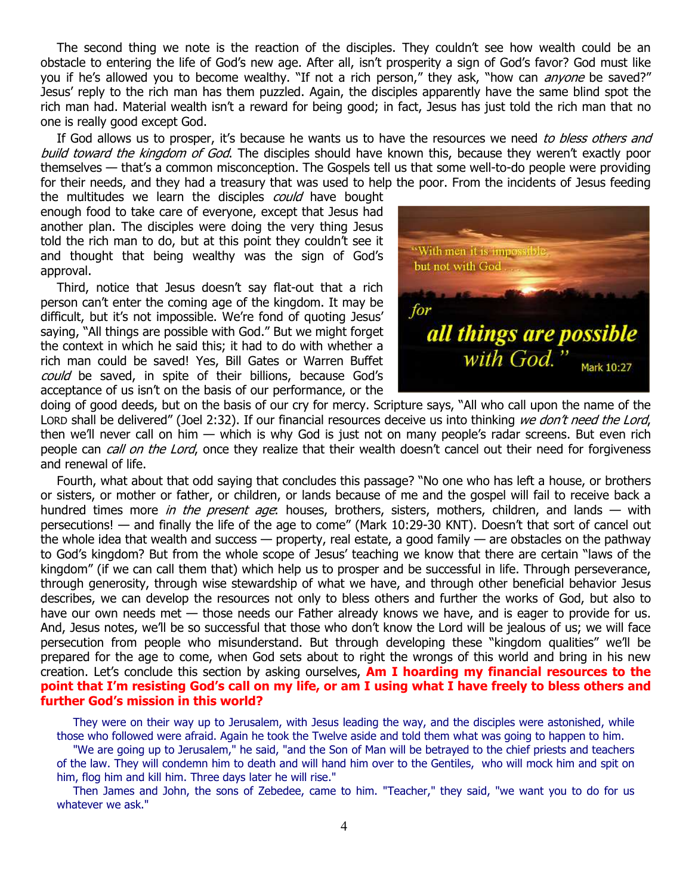The second thing we note is the reaction of the disciples. They couldn't see how wealth could be an obstacle to entering the life of God's new age. After all, isn't prosperity a sign of God's favor? God must like you if he's allowed you to become wealthy. "If not a rich person," they ask, "how can *anyone* be saved?" Jesus' reply to the rich man has them puzzled. Again, the disciples apparently have the same blind spot the rich man had. Material wealth isn't a reward for being good; in fact, Jesus has just told the rich man that no one is really good except God.

If God allows us to prosper, it's because he wants us to have the resources we need to bless others and build toward the kingdom of God. The disciples should have known this, because they weren't exactly poor themselves — that's a common misconception. The Gospels tell us that some well-to-do people were providing for their needs, and they had a treasury that was used to help the poor. From the incidents of Jesus feeding

the multitudes we learn the disciples *could* have bought enough food to take care of everyone, except that Jesus had another plan. The disciples were doing the very thing Jesus told the rich man to do, but at this point they couldn't see it and thought that being wealthy was the sign of God's approval.

Third, notice that Jesus doesn't say flat-out that a rich person can't enter the coming age of the kingdom. It may be difficult, but it's not impossible. We're fond of quoting Jesus' saying, "All things are possible with God." But we might forget the context in which he said this; it had to do with whether a rich man could be saved! Yes, Bill Gates or Warren Buffet could be saved, in spite of their billions, because God's acceptance of us isn't on the basis of our performance, or the



doing of good deeds, but on the basis of our cry for mercy. Scripture says, "All who call upon the name of the LORD shall be delivered" (Joel 2:32). If our financial resources deceive us into thinking we don't need the Lord, then we'll never call on him — which is why God is just not on many people's radar screens. But even rich people can *call on the Lord*, once they realize that their wealth doesn't cancel out their need for forgiveness and renewal of life.

Fourth, what about that odd saying that concludes this passage? "No one who has left a house, or brothers or sisters, or mother or father, or children, or lands because of me and the gospel will fail to receive back a hundred times more *in the present age*: houses, brothers, sisters, mothers, children, and lands — with persecutions! — and finally the life of the age to come" (Mark 10:29-30 KNT). Doesn't that sort of cancel out the whole idea that wealth and success — property, real estate, a good family — are obstacles on the pathway to God's kingdom? But from the whole scope of Jesus' teaching we know that there are certain "laws of the kingdom" (if we can call them that) which help us to prosper and be successful in life. Through perseverance, through generosity, through wise stewardship of what we have, and through other beneficial behavior Jesus describes, we can develop the resources not only to bless others and further the works of God, but also to have our own needs met — those needs our Father already knows we have, and is eager to provide for us. And, Jesus notes, we'll be so successful that those who don't know the Lord will be jealous of us; we will face persecution from people who misunderstand. But through developing these "kingdom qualities" we'll be prepared for the age to come, when God sets about to right the wrongs of this world and bring in his new creation. Let's conclude this section by asking ourselves, **Am I hoarding my financial resources to the point that I'm resisting God's call on my life, or am I using what I have freely to bless others and further God's mission in this world?**

They were on their way up to Jerusalem, with Jesus leading the way, and the disciples were astonished, while those who followed were afraid. Again he took the Twelve aside and told them what was going to happen to him.

"We are going up to Jerusalem," he said, "and the Son of Man will be betrayed to the chief priests and teachers of the law. They will condemn him to death and will hand him over to the Gentiles, who will mock him and spit on him, flog him and kill him. Three days later he will rise."

Then James and John, the sons of Zebedee, came to him. "Teacher," they said, "we want you to do for us whatever we ask."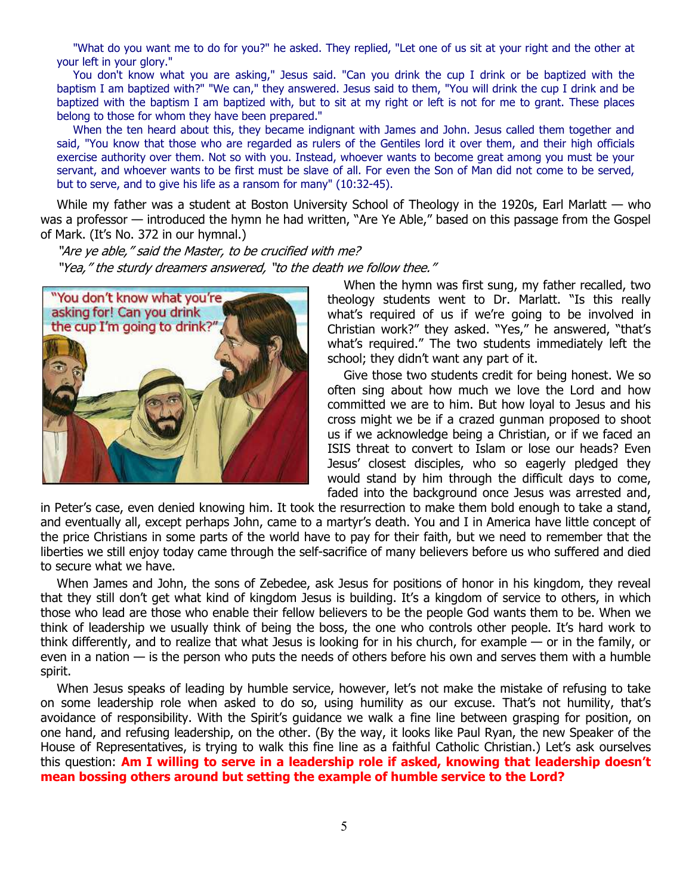"What do you want me to do for you?" he asked. They replied, "Let one of us sit at your right and the other at your left in your glory."

You don't know what you are asking," Jesus said. "Can you drink the cup I drink or be baptized with the baptism I am baptized with?" "We can," they answered. Jesus said to them, "You will drink the cup I drink and be baptized with the baptism I am baptized with, but to sit at my right or left is not for me to grant. These places belong to those for whom they have been prepared."

When the ten heard about this, they became indignant with James and John. Jesus called them together and said, "You know that those who are regarded as rulers of the Gentiles lord it over them, and their high officials exercise authority over them. Not so with you. Instead, whoever wants to become great among you must be your servant, and whoever wants to be first must be slave of all. For even the Son of Man did not come to be served, but to serve, and to give his life as a ransom for many" (10:32-45).

While my father was a student at Boston University School of Theology in the 1920s, Earl Marlatt — who was a professor — introduced the hymn he had written, "Are Ye Able," based on this passage from the Gospel of Mark. (It's No. 372 in our hymnal.)

"Are ye able," said the Master, to be crucified with me? "Yea," the sturdy dreamers answered, "to the death we follow thee."



When the hymn was first sung, my father recalled, two theology students went to Dr. Marlatt. "Is this really what's required of us if we're going to be involved in Christian work?" they asked. "Yes," he answered, "that's what's required." The two students immediately left the school; they didn't want any part of it.

Give those two students credit for being honest. We so often sing about how much we love the Lord and how committed we are to him. But how loyal to Jesus and his cross might we be if a crazed gunman proposed to shoot us if we acknowledge being a Christian, or if we faced an ISIS threat to convert to Islam or lose our heads? Even Jesus' closest disciples, who so eagerly pledged they would stand by him through the difficult days to come, faded into the background once Jesus was arrested and,

in Peter's case, even denied knowing him. It took the resurrection to make them bold enough to take a stand, and eventually all, except perhaps John, came to a martyr's death. You and I in America have little concept of the price Christians in some parts of the world have to pay for their faith, but we need to remember that the liberties we still enjoy today came through the self-sacrifice of many believers before us who suffered and died to secure what we have.

When James and John, the sons of Zebedee, ask Jesus for positions of honor in his kingdom, they reveal that they still don't get what kind of kingdom Jesus is building. It's a kingdom of service to others, in which those who lead are those who enable their fellow believers to be the people God wants them to be. When we think of leadership we usually think of being the boss, the one who controls other people. It's hard work to think differently, and to realize that what Jesus is looking for in his church, for example — or in the family, or even in a nation — is the person who puts the needs of others before his own and serves them with a humble spirit.

When Jesus speaks of leading by humble service, however, let's not make the mistake of refusing to take on some leadership role when asked to do so, using humility as our excuse. That's not humility, that's avoidance of responsibility. With the Spirit's guidance we walk a fine line between grasping for position, on one hand, and refusing leadership, on the other. (By the way, it looks like Paul Ryan, the new Speaker of the House of Representatives, is trying to walk this fine line as a faithful Catholic Christian.) Let's ask ourselves this question: **Am I willing to serve in a leadership role if asked, knowing that leadership doesn't mean bossing others around but setting the example of humble service to the Lord?**